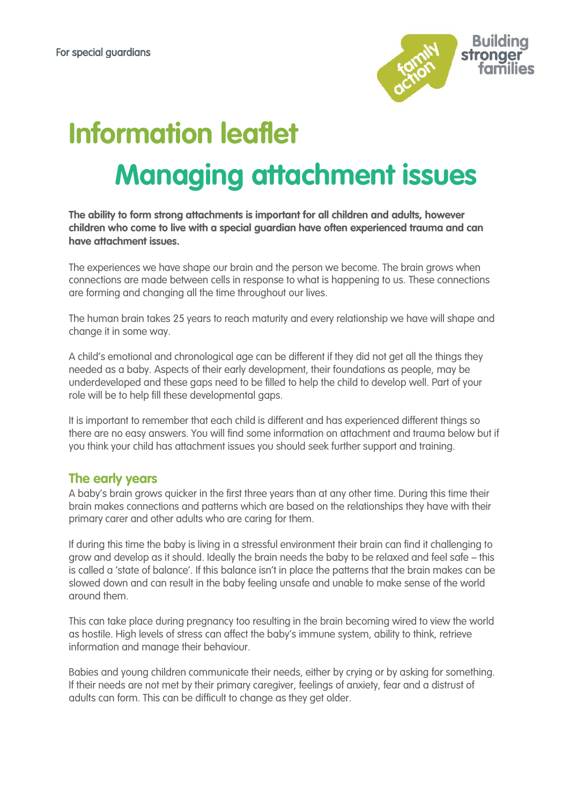

# **Information leaflet Managing attachment issues**

**The ability to form strong attachments is important for all children and adults, however children who come to live with a special guardian have often experienced trauma and can have attachment issues.**

The experiences we have shape our brain and the person we become. The brain grows when connections are made between cells in response to what is happening to us. These connections are forming and changing all the time throughout our lives.

The human brain takes 25 years to reach maturity and every relationship we have will shape and change it in some way.

A child's emotional and chronological age can be different if they did not get all the things they needed as a baby. Aspects of their early development, their foundations as people, may be underdeveloped and these gaps need to be filled to help the child to develop well. Part of your role will be to help fill these developmental gaps.

It is important to remember that each child is different and has experienced different things so there are no easy answers. You will find some information on attachment and trauma below but if you think your child has attachment issues you should seek further support and training.

## **The early years**

A baby's brain grows quicker in the first three years than at any other time. During this time their brain makes connections and patterns which are based on the relationships they have with their primary carer and other adults who are caring for them.

If during this time the baby is living in a stressful environment their brain can find it challenging to grow and develop as it should. Ideally the brain needs the baby to be relaxed and feel safe – this is called a 'state of balance'. If this balance isn't in place the patterns that the brain makes can be slowed down and can result in the baby feeling unsafe and unable to make sense of the world around them.

This can take place during pregnancy too resulting in the brain becoming wired to view the world as hostile. High levels of stress can affect the baby's immune system, ability to think, retrieve information and manage their behaviour.

Babies and young children communicate their needs, either by crying or by asking for something. If their needs are not met by their primary caregiver, feelings of anxiety, fear and a distrust of adults can form. This can be difficult to change as they get older.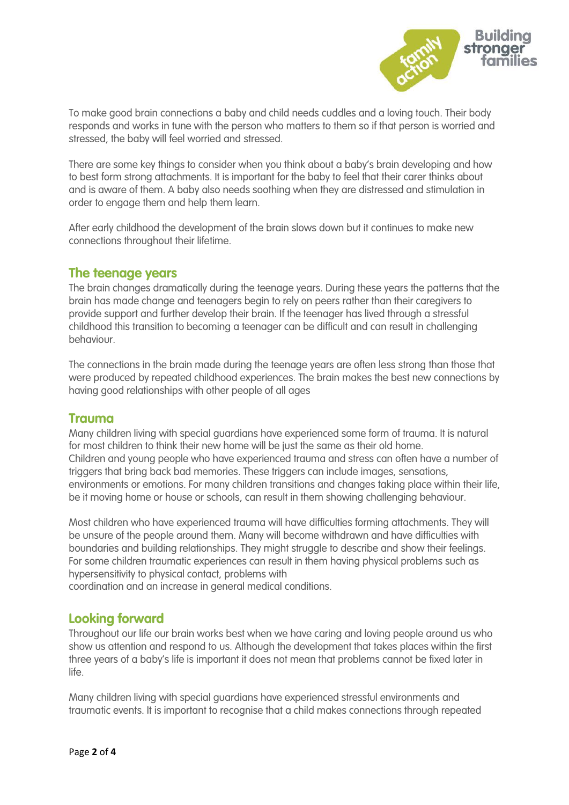

To make good brain connections a baby and child needs cuddles and a loving touch. Their body responds and works in tune with the person who matters to them so if that person is worried and stressed, the baby will feel worried and stressed.

There are some key things to consider when you think about a baby's brain developing and how to best form strong attachments. It is important for the baby to feel that their carer thinks about and is aware of them. A baby also needs soothing when they are distressed and stimulation in order to engage them and help them learn.

After early childhood the development of the brain slows down but it continues to make new connections throughout their lifetime.

### **The teenage years**

The brain changes dramatically during the teenage years. During these years the patterns that the brain has made change and teenagers begin to rely on peers rather than their caregivers to provide support and further develop their brain. If the teenager has lived through a stressful childhood this transition to becoming a teenager can be difficult and can result in [challenging](http://www.specialguardiansupport.org.uk/managing-challenging-behaviour/)  [behaviour.](http://www.specialguardiansupport.org.uk/managing-challenging-behaviour/)

The connections in the brain made during the teenage years are often less strong than those that were produced by repeated childhood experiences. The brain makes the best new connections by having good relationships with other people of all ages

## **Trauma**

Many children living with special guardians have experienced some form of trauma. It is natural for most children to think their new home will be just the same as their old home. Children and young people who have experienced trauma and stress can often have a number of triggers that bring back bad memories. These triggers can include images, sensations, environments or emotions. For many children [transitions](http://www.specialguardiansupport.org.uk/managing-transitions/) and changes taking place within their life, be it moving home or house or schools, can result in them showing challenging behaviour.

Most children who have experienced trauma will have difficulties forming attachments. They will be unsure of the people around them. Many will become withdrawn and have difficulties with boundaries and building relationships. They might struggle to describe and show their feelings. For some children traumatic experiences can result in them having physical problems such as hypersensitivity to physical contact, problems with

coordination and an increase in general medical conditions.

## **Looking forward**

Throughout our life our brain works best when we have caring and loving people around us who show us attention and respond to us. Although the development that takes places within the first three years of a baby's life is important it does not mean that problems cannot be fixed later in life.

Many children living with special guardians have experienced stressful environments and traumatic events. It is important to recognise that a child makes connections through repeated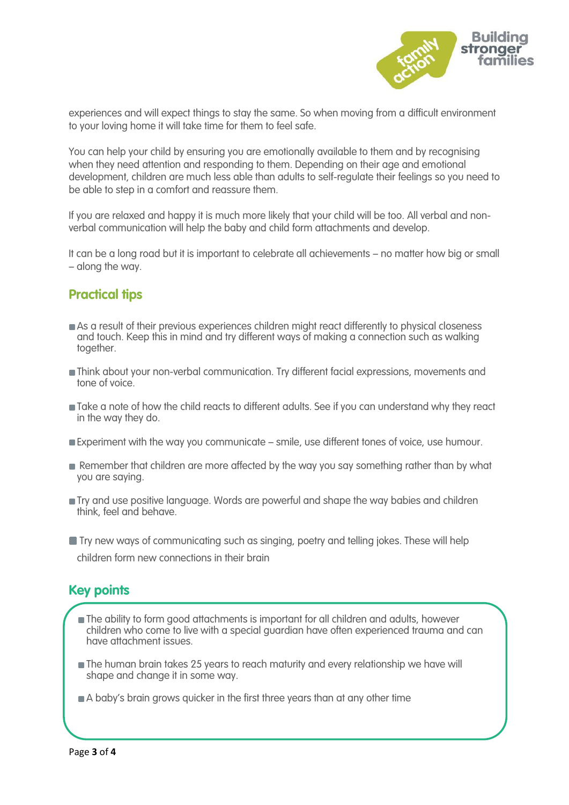

experiences and will expect things to stay the same. So when moving from a difficult environment to your loving home it will take time for them to feel safe.

You can help your child by ensuring you are emotionally available to them and by recognising when they need attention and responding to them. Depending on their age and emotional development, children are much less able than adults to self-regulate their feelings so you need to be able to step in a comfort and reassure them.

If you are relaxed and happy it is much more likely that your child will be too. All verbal and nonverbal communication will help the baby and child form attachments and develop.

It can be a long road but it is important to celebrate all achievements – no matter how big or small – along the way.

# **Practical tips**

- As a result of their previous experiences children might react differently to physical closeness and touch. Keep this in mind and try different ways of making a connection such as walking together.
- Think about your non-verbal communication. Try different facial expressions, movements and tone of voice.
- Take a note of how the child reacts to different adults. See if you can understand why they react in the way they do.
- Experiment with the way you communicate smile, use different tones of voice, use humour.
- Remember that children are more affected by the way you say something rather than by what you are saying.
- Try and use positive language. Words are powerful and shape the way babies and children think, feel and behave.
- **Try new ways of communicating such as singing, poetry and telling jokes. These will help** children form new connections in their brain

# **Key points**

- The ability to form good attachments is important for all children and adults, however children who come to live with a special guardian have often experienced trauma and can have attachment issues.
- The human brain takes 25 years to reach maturity and every relationship we have will shape and change it in some way.
- A baby's brain grows quicker in the first three years than at any other time